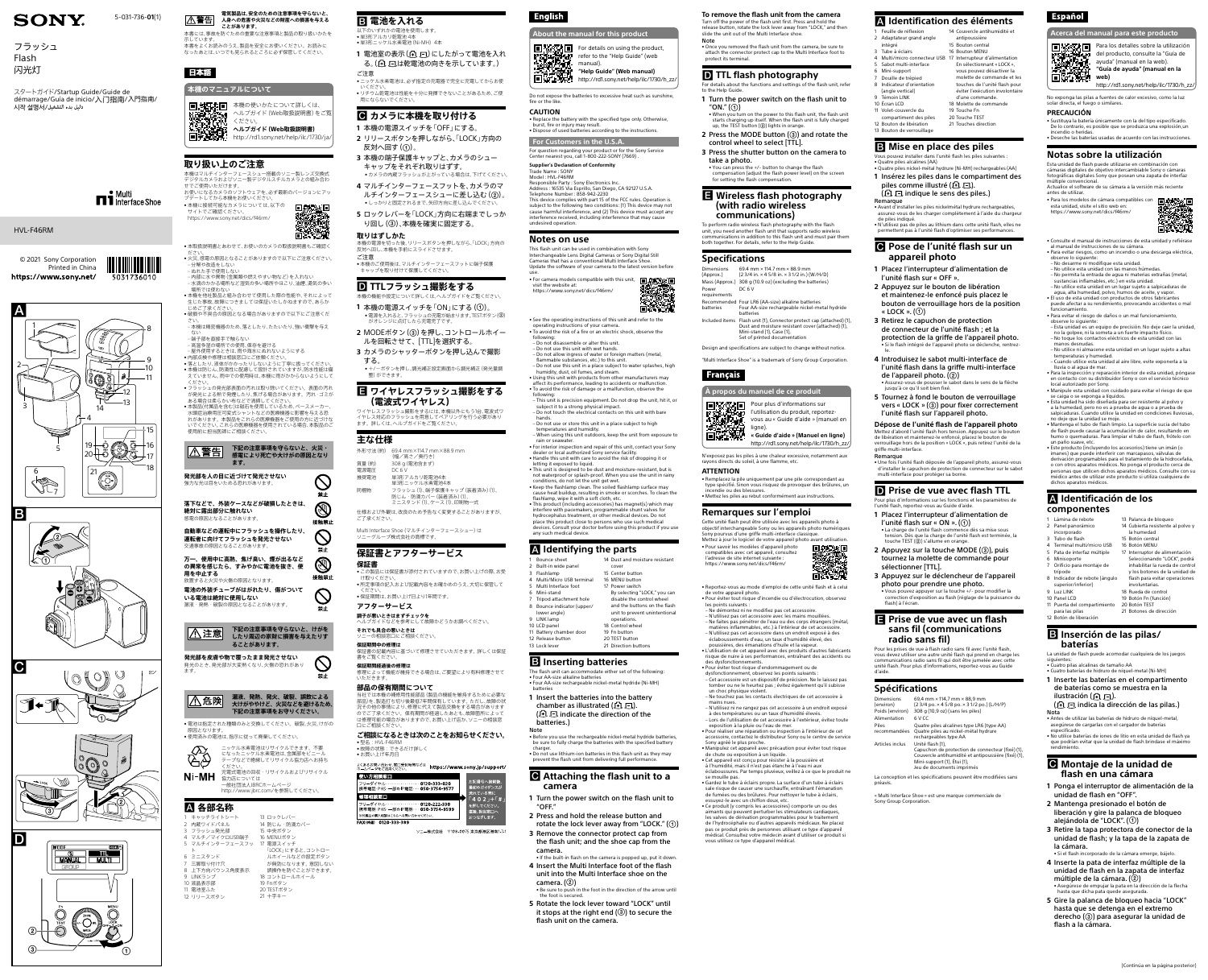### 本書には、事故を防ぐための重要な注意事項と製品の取り扱いかたを  **電池を入れる** 以下のいずれかの雷池を使用します

**電気製品は、安全のための注意事項を守らないと、 人身への危害や火災などの財産への損害を与える A警告 ことがあります。**

ください。 <del>人では全国</del><br>国子大学学生 ヘルプガイド (Web取扱説明書)<br>国子大学学生 http://rd1.sony.net/help/ilc/173

示しています。

日本語

本書をよくお読みのうえ、製品を安全にお使いください。お読みに なったあとは、いつでも見られるところに必ず保管してください。

日 法日本国 本機の使いかたについて詳しくは、

**本機のマニュアルについて**

ヘルプガイド(Web取扱説明書)をご覧

‒ 分解や改造をしない ぬれた手で使用しない

<http://rd1.sony.net/help/ilc/1730/ja/>

高深受演

**取り扱い上のご注意**

本機はマルチインターフェースシュー搭載のソニー製レンズ交換式 デジタルカメラおよびソニー製デジタルスチルカメラとの組み合わ

• *\*\*\*\*\** \*\*\*\* \*\*\*\* \*\*\*\* \*\*\*\*\*<br>• 本機を他社製品と組み合わせて使用した際の性能や、それによって 生じた事故、故障につきましては保証いたしかねますので、あらか – じめご了承ください。<br>● 破損や不具合の原因となる場合がありますので以下にご注意くだ さい。 ‒ 本機は精密機器のため、落としたり、たたいたり、強い衝撃を与え

せでご使用いただけます。

お使いになるカメラのソフトウェアを、必ず最新のバージョンにアッ

•本取扱説明書とあわせて、お使いのカメラの取扱説明書もご確認く - ださい。<br>● 火災、感電の原因となることがありますので以下にご注意ください。

プデートしてから本機をお使いください。 • 本機に接続可能なカメラについては、以下の

サイトでご確認ください。 <https://www.sony.net/dics/f46rm/>

‒ 内部に水や異物(金属類や燃えやすい物など)を入れない ‒ 水滴のかかる場所など湿気の多い場所やほこり、油煙、湯気の多い

場所では使わない

ない ‒ 端子部を直接手で触らない

…。<br>高温多湿の場所での使用、保存を避ける - 局温シ温・3,337 → 5,25,3,8,8,5 0,20,7 。<br>- 民外使用するときけ 雨や海水にめれないようにする

<u>|/\</u>\危険| **大けがややけど、火災などを避けるため、 下記の注意事項をお守りください。**

• 電池は指定された種類のみと交換してください。破裂、火災、けがの 原因となります。 - <sub>応凶と なっよす。</sub><br>● 使用済みの雷池は、指示に従って廃棄してください。

ニッケル水素電池はリサイクルできます。不要 になったニッケル水素電池は、金属部をビニール テープなどで絶縁してリサイクル協力店へお持ち ĞÐ

 **各部名称** キャッチライトシート 内蔵ワイドパネル 3 フラッシュ発光部 4 マルチ/マイクロUSB端子

Ni-MH

9 LINKランプ 10 液晶表示部 11 電池室ふた 12 リリースボタン

誤操作を防ぐことができます。 18 コントロールホイール 19 Fnボタン 20 TESTボタン 21 十字キー

• 単3形アルカリ乾電池 4本 ●単3形ニッケル水素電池 (Ni-MH) 4本

> 1 電池室の表示(ALC)にしたがって電池を入れ る。(4) 、「は乾電池の向きを示しています。)

ご注意 • ニッケル水素電池は、必ず指定の充電器で完全に充電してからお使 いください。 リチウム乾電池は性能を十分に発揮できないことがあるため、ご使

- **カメラに本機を取り付ける**
- **1** 本機の電源スイッチを「OFF」にする。 **2** リリースボタンを押しながら、「LOCK」方向の
- 反対へ回す(①)。 **3** 本機の端子保護キャップと、カメラのシュー
- キャップをそれぞれ取りはずす。 • カメラの内蔵フラッシュが上がっている場合は、下げてください **4** マルチインターフェースフットを、カメラのマ
- ルチインターフェースシューに差し込む(2)。 • しっかりと固定されるまで、矢印方向に差し込んでください。
- **5** ロックレバーを「LOCK」方向に右端までしっか り回し(③)、本機を確実に固定する。



ます。

Multi Interface Shoe (マルチインターフェースシュー)は ソニーグループ株式会社の商標です。

- **保証書** • この製品には保証書が添付されていますので、お買い上げの際、お受 け取りくださ
- • 所定事項の記入および記載内容をお確かめのうえ、大切に保管して - ください。<br>● 保証期間は、お買い上げ日より1年間です。

...<u>.....................</u><br>保証書の記載内容に基づいて修理させていただきます。 詳しくは保証 書をご覧ください。

ください。 充電式電池の回収・リサイクルおよびリサイクル

協力店については 一般社団法人JBRCホームページ

5 マルチインターフェースフッ 17 電源スイッチ

<http://www.jbrc.com/>を参照してください。

ト 6 ミニスタンド 三脚取り付け穴 8 上下方向バウンス角度表示 13 ロックレバー 14 防じん・防滴カバー 15 中央ボタン 16 MENUボタン

> 「LOCK」にすると、コントロー ルホイールなどの設定ボタン



●内部点検や修理は相談窓口にご依頼ください。<br>● 落としたり、液体がかかったりしないように丁寧に扱ってください。<br>● 本機は防じん、防滴性に配慮して設計されていますが、防水性能は備 えていません。雨中での使用時は、本機に雨がかからないようにして ください。 • フラッシュの発光部表面の汚れは取り除いてください。表面の汚れ が発光による熱で発煙したり、焦げる場合があります。汚れ・ゴミが ある場合は柔らかい布などで清掃してください。 • ニッグ・コッパラル・・・・。ここれが。ここここ。<br>• 本製品(付属品を含む)は磁石を使用しているため、ペースメーカー 水頭症治療用圧可変式シャントなどの医療機器に影響を与える恐 れがあります。本製品をこれらの医療機器をご使用の方に近づけな いでください。これらの医療機器を使用されている場合、本製品のご - ・・・・・・。<br>使用前に担当医師にご相談ください。





**1** Turn the power switch on the flash unit to "ON." $(\textcircled{\scriptsize{1}})$ 

• When you turn on the power to this flash unit, the flash unit<br>starts charging up itself. When the flash unit is fully charged<br>up, the TEST button (@) lights in orange.

**2** Press the MODE button (3) and rotate the control wheel to select [TTL].

• You can press the +/- button to change the flash compensation (adjust the flash power level) on the screen for setting the flash compensation.

# 用にならないでください。

69.4 mm × 114.7 mm × 88.9 mm (2 3/4 in. × 4 5/8 in. × 3 1/2 in.) (W/H/D) Mass (Approx.) 308 g (10.9 oz) (excluding the batteries) DC 6 V

## **取りはずしかた**

本機の電源を切った後、リリースボタンを押しながら、「LOCK」方向の 反対へ回し、本機を手前にスライドさせます。 ご注意

> Included items Flash unit (1), Connector protect cap (attached) (1), Dust and moisture resistant cover (attached) (1), Mini-stand (1), Case (1), Set of printed documentation

• 本機のご使用後は、マルチインターフェースフットに端子保護 キャップを取り付けて保護してください。

# **TTLフラッシュ撮影をする**

- 本機の機能や設定について詳しくは、ヘルプガイドをご覧ください。 1 本機の電源スイッチを「ON」にする(①)。 • 電源を入れると、フラッシュの充電が始まります。TESTボタン(②) がオレンジに点灯したら充電完了です。
- 2 MODEボタン(3)を押し、コントロールホイー ルを回転させて、[TTL]を選択する。
- **3** カメラのシャッターボタンを押し込んで撮影
- する。 • +/-ボタンを押し、調光補正設定画面から調光補正(発光量調 整)ができます。

## **ワイヤレスフラッシュ撮影をする (電波式ワイヤレス)**

ワイヤレスフラッシュ撮影をするには、本機以外にもう1台、電波式ワ イヤレス対応のフラッシュを用意してペアリングを行う必要があり ます。詳しくは、ヘルプガイドをご覧ください。

## **主な仕様**

外形寸法(約) 69.4 mm×114.7 mm×88.9 mm (幅/高さ/奥行き) 質量(約) 308 g(電池含まず) 電源電圧 DC 6 V

推奨電池 単3形アルカリ乾電池4本 単3形ニッケル水素電池4本

同梱物 フラッシュ(1)、端子保護キャップ(装着済み)(1)、 防じん・防滴カバー(装着済み)(1)、 ミニスタンド(1)、ケース(1)、印刷物一式

仕様および外観は、改良のため予告なく変更することがありますが、 ご了承ください。

> 2000 • Reportez-vous au mode d'emploi de cette unité flash et à celui

# **保証書とアフターサービス**

**アフターサービス**

**調子が悪いときはまずチェックを**

ヘルプガイドなどを参考にして故障かどうかお調べください。 **それでも具合の悪いときは**

ソニーの相談窓口にご相談ください。

**保証期間中の修理は**

**保証期間経過後の修理は** 修理によって機能が維持できる場合は、ご要望により有料修理させて

## いただきます。

**部品の保有期間について** 当社では本機の補修用性能部品(製品の機能を維持するために必要な 部品)を、製造打ち切り後最低7年間保有しています。ただし、故障の状 況その他の事情により、修理に代えて製品交換をする場合があります のでご了承ください。保有期間が経過したあとも、故障箇所によって は修理可能の場合がありますので、お買い上げ店か、ソニーの相談窓 口にご相談ください。

**ご相談になるときは次のことをお知らせください。** • 型名:HVL-F46RM • 故障の状態:できるだけ詳しく

• お買い上げ年月日

| よくあるお問い合わせ、窓口受付時間などは<br>ホームページをご活用ください。                                                                | https://www.sony.jp/support/ |                                   |
|--------------------------------------------------------------------------------------------------------|------------------------------|-----------------------------------|
| 使い方相談窓口<br>フリーダイヤル・・・・・・・・・・・・・・・ 0120 333 020<br>携帯電話·PHS·一部のIP電話…<br>050 3754 9577                   |                              | 左記番号へ接続後、<br>最初のガイダンスが<br>流れている間に |
| 修理相談窓口                                                                                                 |                              | $\sqrt{402}$ $+$ $\sqrt{41}$      |
| フリーダイヤル・・・・・・・・・・・・・・・ 0120 222 330<br>携帯電話·PHS·一部のIP電話…<br>050 3754 9599<br>※付属品の購入相談はこちらへお問い合わせください。 |                              | を押してください。<br>直接、担当窓口へ<br>おつなぎします。 |
| 200 ככל מרוח ואודועות                                                                                  |                              |                                   |

ソニー株式会社 〒108-0075 東京都港区港南1-7-

# **English**

**To remove the flash unit from the camera**

Turn off the power of the flash unit first. Press and hold the release button, rotate the lock lever away from "LOCK," and then slide the unit out of the Multi Interface shoe.

Note

Français

• Once you removed the flash unit from the camera, be sure to attach the connector protect cap to the Multi Interface foot to protect its terminal.

## **D** TTL flash photography

For details about the functions and settings of the flash unit, refer to the Help Guide.

- Feuille de réflexio 2 Adaptateur grand angle intégré 3 Tube à éclairs
- 4 Multi/micro connecteur USB 17 Interrupteur d'alimentation 5 Sabot multi-interface Mini-support 7 Douille de trépied
- 8 Indicateur d'orientation (angle vertical)
- 9 Témoin LINK 10 Écran LCD
- 11 Volet-couvercle du compartiment des piles
- 12 Bouton de libération 20 Touche TEST 21 Touches direction
- 13 Bouton de verrouillage

# **B** Mise en place des piles

En sélectionnant « LOCK », vous pouvez désactiver la molette de commande et les touches de l'unité flash pour éviter l'exécution involontaire d'une commande. 18 Molette de commande 19 Touche Fr

**3** Press the shutter button on the camera to take a photo.

## **Wireless flash photography (with radio wireless communications)**

To perform radio wireless flash photography with the flash unit, you need another flash unit that supports radio wireless communications in addition to this flash unit and must pair them both together. For details, refer to the Help Guide.

## **Pose de l'unité flash sur un appareil photo**

## **Specifications**

Dimensions (Approx.) Power requirements batteries

Recommended Four LR6 (AA-size) alkaline batteries Four AA-size rechargeable nickel-metal hydride batteries

Design and specifications are subject to change without notice.

"Multi Interface Shoe" is a trademark of Sony Group Corporation.

### **À propos du manuel de ce produit**



l'utilisation du produit, reportezvous au « Guide d'aide » (manuel en **« Guide d'aide » (Manuel en ligne)**

ligne).

[http://rd1.sony.net/help/ilc/1730/h\\_zz/](http://rd1.sony.net/help/ilc/1730/h_zz/) N'exposez pas les piles à une chaleur excessive, notamment aux rayons directs du soleil, à une flamme, etc.

**ATTENTION**

• Remplacez la pile uniquement par une pile correspondant au

type spécifié. Sinon vous risquez de provoquer des brûlures, un ndie ou des blessures. • Mettez les piles au rebut conformément aux instructions.

## **Remarques sur l'emploi**

 $fixé)$  (1), Couvercle antihumidité et antipoussière (fixé) (1), Mini-support (1), Étui (1), Jeu de documents imprimés

« Multi Interface Shoe » est une marque commerciale de Sony Group Corpora

# **Español**

Cette unité flash peut être utilisée avec les appareils photo à objectif interchangeable Sony ou les appareils photo numériques Sony pourvus d'une griffe multi-interface classique.



• Pour savoir les modèles d'appareil photo compatibles avec cet appareil, consultez l'adresse de site internet suivante : <https://www.sony.net/dics/f46rm/>

de votre appareil photo.

• Pour éviter tout risque d'incendie ou d'électrocution, observez les points suivants :

- Ne démontez ni ne modifiez pas cet accessoire.
- N'utilisez pas cet accessoire avec les mains mouillées. Ne faites pas pénétrer de l'eau ou des corps étrangers (métal, matières inflammables, etc.) à l'intérieur de cet accessoire. – N'utilisez pas cet accessoire dans un endroit exposé à des éclaboussements d'eau, un taux d'humidité élevé, des
- poussières, des émanations d'huile et la vapeur. • L'utilisation de cet appareil avec des produits d'autres fabricants risque de nuire à ses performances, entraînant des accidents ou
- des dysfonctionnements.
- Pour éviter tout risque d'endommagement ou de dysfonctionnement, observez les points suivants :
- Cet accessoire est un dispositif de précision. Ne le laissez pas tomber ou ne le heurtez pas ; évitez également qu'il subisse un choc physique violent.
- Ne touchez pas les contacts électriques de cet accessoire à
- mains nues. N'utilisez ni ne rangez pas cet accessoire à un endroit exposé à des températures ou un taux d'humidité élevés. – Lors de l'utilisation de cet accessoire à l'extérieur, évitez toute exposition à la pluie ou l'eau de mer.

• Pour réaliser une réparation ou inspection à l'intérieur de cet accessoire, contactez le distributeur Sony ou le centre de service Sony agréé le plus proche.

• Antes de utilizar las baterías de hidruro de níquel-metal, asegúrese de cargarlas con el cargador de baterías especificado. • No utilice baterías de iones de litio en esta unidad de flash ya que podrían evitar que la unidad de flash brindase

- Manipulez cet appareil avec précaution pour éviter tout risque de chute ou exposition à un liquide. Cet appareil est conçu pour résister à la poussière et
- à l'humidité, mais il n'est pas étanche à l'eau ni aux
- éclaboussures. Par temps pluvieux, veillez à ce que le produit ne se mouille pas. • Gardez le tube à éclairs propre. La surface d'un tube à éclairs
- sale risque de causer une surchauffe, entraînant l'émanation de fumées ou des brûlures. Pour nettoyer le tube à éclairs, essuyez-le avec un chiffon doux, etc.
- Ce produit (y compris les accessoires) comporte un ou des aimants qui peuvent perturber les stimulateurs cardiaques, les valves de dérivation programmables pour le traitement de l'hydrocéphalie ou d'autres appareils médicaux. Ne placez pas ce produit près de personnes utilisant ce type d'appareil
- médical. Consultez votre médecin avant d'utiliser ce produit si vous utilisez ce type d'appareil médical.

**5** Gire la palanca de bloqueo hacia "LOCK" hasta que se detenga en el extremo derecho (3) para asegurar la unidad de

For details on using the product, refer to the "Help Guide" (web manual). **"Help Guide" (Web manual)**  $\frac{1}{2}$  $\frac{1}{2}$  $\frac{1}{2}$  $\frac{1}{2}$  $\frac{1}{2}$   $\frac{1}{2}$   $\cdots$  [http://rd1.sony.net/help/ilc/1730/h\\_zz/](http://rd1.sony.net/help/ilc/1730/h_zz/)

## **Identification des éléments**

 Couvercle antihumidité et antipoussière Bouton central Bouton MENU

- Vous pouvez installer dans l'unité flash les piles suivantes : • Quatre piles alcalines (AA)
- Quatre piles nickel-métal hydrure (Ni-MH) rechargeables (AA) **1** Insérez les piles dans le compartiment des piles comme illustré (Fl, Fl).
- $(\bigoplus \bigoplus$  indique le sens des piles.) Remarque • Avant d'installer les piles nickelmétal hydrure rechargeables,
- 
- assurez-vous de les charger complètement à l'aide du chargeur de piles indiqué. • N'utilisez pas de piles au lithium dans cette unité flash, elles ne permettent pas à l'unité flash d'optimiser ses performances.

Bounce sheet 2 Built-in wide panel 3 Flashlamp

Multi/Micro USB terminal 5 Multi Interface foot Mini-stand Tripod attachment hol 8 Bounce indicator (upper/ lower angle)

 LINK lamp LCD panel Battery chamber door Release button Lock lever operations. Control wheel Fn button TEST button 21 Direction buttons

- **1** Placez l'interrupteur d'alimentation de l'unité flash sur « OFF ».
- **2** Appuyez sur le bouton de libération et maintenez-le enfoncé puis placez le bouton de verrouillage hors de la position « LOCK ». $(\textcircled{\scriptsize 1})$
- **3** Retirez le capuchon de protection de connecteur de l'unité flash ; et la protection de la griffe de l'appareil photo. • Si le flash intégré de l'appareil photo le.
- **4** Introduisez le sabot multi-interface de l'unité flash dans la griffe multi-interface de l'appareil photo.  $(Q)$ • Assurez-vous de pousser le sabot dans le sens de la flèche
- jusqu'à ce qu'il soit bien fixé. **5** Tournez à fond le bouton de verrouillage vers « LOCK »  $($   $)$  pour fixer correctement l'unité flash sur l'appareil photo.

**Dépose de l'unité flash de l'appareil photo** Mettez d'abord l'unité flash hors tension. Appuyez sur le bouton de libération et maintenez-le enfoncé, placez le bouton de verrouillage hors de la position « LOCK », puis retirez l'unité de la griffe multi-interface.

Remarque

• Une fois l'unité flash déposée de l'appareil photo, assurez-vous d'installer le capuchon de protection de connecteur sur le sabot multi-interface pour protéger sa borne.

## **D** Prise de vue avec flash TTL

© 2021 Sony Corporation Printed in China https://www.sony.net/

- Pour plus d'informations sur les fonctions et les paramètres de l'unité flash, reportez-vous au Guide d'aide.
- **1** Placez l'interrupteur d'alimentation de l'unité flash sur « ON ».  $(\textcircled{\scriptsize{1}})$ • La charge de l'unité flash commence dès sa mise sous tension. Dès que la charge de l'unité flash est terminée, la
- touche TEST  $(2)$  s'allume en orange. **2** Appuyez sur la touche MODE (3), puis tournez la molette de commande pour
- sélectionner [TTL]. **3** Appuyez sur le déclencheur de l'appareil
- photo pour prendre une photo. • Vous pouvez appuyer sur la touche +/- pour modifier la correction d'exposition au flash (réglage de la puissance du flash) à l'écran.

## **Prise de vue avec un flash sans fil (communications radio sans fil)**

Pour les prises de vue à flash radio sans fil avec l'unité flash, vous devez utiliser une autre unité flash qui prend en charge les communications radio sans fil qui doit être jumelée avec cette unité flash. Pour plus d'informations, reportez-vous au Guide d'aide.

## **Spécifications**

| Dimensions<br>(environ) | 69,4 mm × 114,7 mm × 88,9 mm<br>(2 3/4 po. × 4 5/8 po. × 3 1/2 po.) (L/H/P)                                                                                                                                                                                                                   |
|-------------------------|-----------------------------------------------------------------------------------------------------------------------------------------------------------------------------------------------------------------------------------------------------------------------------------------------|
| Poids (environ)         | 308 g (10,9 oz) (sans les piles)                                                                                                                                                                                                                                                              |
| Alimentation            | 6 V CC                                                                                                                                                                                                                                                                                        |
| Piles<br>recommandées   | Quatre piles alcalines type LR6 (type AA)<br>Quatre piles au nickel-métal hydrure<br>rechargeables type AA                                                                                                                                                                                    |
| Articles inclus         | Unité flash (1),<br>Capuchon de protection de connecteur (f<br>Contracted to the set of the contract of the contract of the contract March of the contract of the contract of the contract of the contract of the contract of the contract of the contract of the contract of the contract of |

La conception et les spécifications peuvent être modifiées sans préavis.

**Acerca del manual para este producto**



Para los detalles sobre la utilización del producto, consulte la "Guía de a **pressuper del** producto, consulte la "G<br>**A SILAN DUA** , ayuda" (manual en la web).<br>1453 VIS-La , "Guía de ayuda" (manual e **"Guía de ayuda" (manual en la web)**

[http://rd1.sony.net/help/ilc/1730/h\\_zz/](http://rd1.sony.net/help/ilc/1730/h_zz/) No exponga las pilas a fuentes de calor excesivo, como la luz

solar directa, el fuego o similares.

## **PRECAUCIÓN**

• Sustituya la batería únicamente con la del tipo especificado. De lo contrario, es posible que se produzca una explosión,un incendio o heridas. • Deseche las baterías usadas de acuerdo con las instrucciones.

## **Notas sobre la utilización**

Esta unidad de flash puede utilizarse en combinación con cámaras digitales de objetivo intercambiable Sony o cámaras fotográficas digitales Sony que posean una zapata de interfaz múltiple convencional. Actualice el software de su cámara a la versión más reciente antes de utilizar.

- Para los modelos de cámara compatibles con esta unidad, visite el sitio web en: <https://www.sony.net/dics/f46rm/>
- 
- Consulte el manual de instrucciones de esta unidad y refiérase al manual de instrucciones de su cámara. • Para evitar riesgos, como un incendio o una descarga eléctrica,
- observe lo siguiente: No desarme ni modifique esta unidad.
- No utilice esta unidad con las manos húmedas. – No permita la entrada de agua ni materias extrañas (metal,
- sustancias inflamables, etc.) en esta unidad. – No utilice esta unidad en un lugar sujeto a salpicaduras de
- agua, alta humedad, polvo, humos de aceite, y vapor. • El uso de esta unidad con productos de otros fabricantes

puede afectar a su rendimiento, provocando accidentes o mal .<br>funcionamiento • Para evitar el riesgo de daños o un mal funcionamiento,

observe lo siguiente:

– Esta unidad es un equipo de precisión. No deje caer la unidad, no la golpee, ni la someta a un fuerte impacto físico. – No toque los contactos eléctricos de esta unidad con las

manos desnudas.

– No utilice ni almacene esta unidad en un lugar sujeto a altas

temperaturas y humedad.

– Cuando utilice esta unidad al aire libre, evite exponerla a la

lluvia o al agua de mar.

ocal autorizado por Sony.

• Para la inspección y reparación interior de esta unidad, póngase en contacto con su distribuidor Sony o con el servicio técnico

• Manipule esta unidad con cuidado para evitar el riesgo de que se caiga o se exponga a líquidos. • Esta unidad ha sido diseñada para ser resistente al polvo y a la humedad, pero no es a prueba de agua o a prueba de salpicaduras. Cuando utilice la unidad en condiciones lluviosas,

no deje que la unidad se moje.

• Mantenga el tubo de flash limpio. La superficie sucia del tubo de flash puede causar la acumulación de calor, resultando en humo o quemaduras. Para limpiar el tubo de flash, frótelo con

un paño suave, etc.

• Este producto (incluyendo los accesorios) tiene un imán (o imanes) que puede interferir con marcapasos, válvulas de derivación programables para el tratamiento de la hidrocefalia, o con otros aparatos médicos. No ponga el producto cerca de personas que utilicen dichos aparatos médicos. Consulte con su médico antes de utilizar este producto si utiliza cualquiera de

dichos aparatos médicos.

 **Identificación de los** 

**componentes** Lámina de rebote Panel panorámico ncorporado Tubo de flash Terminal multi/micro USB Pata de interfaz múltiple Minisoporte Orificio para montaje de trípode

8 Indicador de rebote (ángulo superior/inferior) 9 Luz LINK 10 Panel LCD

11 Puerta del compartimiento para las pilas 12 Botón de liberación

13 Palanca de bloqueo 14 Cubierta resistente al polvo y

la humedad 15 Botón central 16 Botón MENU

17 Interruptor de alimentación Seleccionando "LOCK", podrá inhabilitar la rueda de contro y los botones de la unidad de flash para evitar operaciones

involuntarias. 18 Rueda de control 19 Botón Fn (función) 20 Botón TEST 21 Botones de dirección

**Inserción de las pilas/**

**baterías**

ilustración ( $\Box$ ).

La unidad de flash puede acomodar cualquiera de los juegos siguientes: • Cuatro pilas alcalinas de tamaño AA • Cuatro baterías de hidruro de níquel-metal (Ni-MH)

**1** Inserte las baterías en el compartimento de baterías como se muestra en la

( $\oplus$   $\Box$  indica la dirección de las pilas.)

Nota

rendimiento.

 **Montaje de la unidad de flash en una cámara**

**1** Ponga el interruptor de alimentación de la

unidad de flash en "OFF". **2** Mantenga presionado el botón de liberación y gire la palanca de bloqueo

alejándola de "LOCK".  $(①)$ 

múltiple de la cámara.  $(Q)$ 

**3** Retire la tapa protectora de conector de la unidad de flash; y la tapa de la zapata de

la cámara.

• Si el flash incorporado de la cámara emerge, bájelo. **4** Inserte la pata de interfaz múltiple de la unidad de flash en la zapata de interfaz

• Asegúrese de empujar la pata en la dirección de la flecha

hasta que dicha pata quede asegurada.

flash a la cámara.

**About the manual for this product**

Do not expose the batteries to excessive heat such as sunshine, fire or the like. **CAUTION**

• Replace the battery with the specified type only. Otherwise, burst, fire or injury may result. • Dispose of used batteries according to the instructions.

## **For Customers in the U.S.A.** For question regarding your product or for the Sony Service

Center nearest you, call 1-800-222-SONY (7669) . **Supplier's Declaration of Conformity**

### Trade Name : SONY Model : HVL-F46RM

Responsible Party : Sony Electronics Inc. Address : 16535 Via Esprillo, San Diego, CA 92127 U.S.A. Telephone Number : 858-942-2230 This device complies with part 15 of the FCC rules. Operation is subject to the following two conditions: (1) This device may not cause harmful interference, and (2) This device must accept any interference received, including interference that may cause undesired operation.

## **Notes on use**

This flash unit can be used in combination with Sony Interchangeable Lens Digital Cameras or Sony Digital Still Cameras that has a conventional Multi Interface Shoe. Update the software of your camera to the latest version before

use.

• For camera models compatible with this unit, visit the website at: <https://www.sony.net/dics/f46rm/>

• See the operating instructions of this unit and refer to the operating instructions of your camera. • To avoid the risk of a fire or an electric shock, observe the

following: – Do not disassemble or alter this unit.

– Do not use this unit with wet hands. – Do not allow ingress of water or foreign matters (metal, flammable substances, etc.) to this unit. – Do not use this unit in a place subject to water splashes, high humidity, dust, oil fumes, and steam. • Using this unit with products from other manufacturers may affect its performance, leading to accidents or malfunction. • To avoid the risk of damage or a malfunction, observe the

following:

– This unit is precision equipment. Do not drop the unit, hit it, or subject it to a strong physical impact. – Do not touch the electrical contacts on this unit with bare

hands.

– Do not use or store this unit in a place subject to high temperatures and humidity. – When using this unit outdoors, keep the unit from exposure to rain or seawater. • For interior inspection and repair of this unit, contact your Sony dealer or local authorized Sony service facility. • Handle this unit with care to avoid the risk of dropping it or letting it exposed to liquid. • This unit is designed to be dust and moisture-resistant, but is

not waterproof or splash-proof. When you use the unit in rainy conditions, do not let the unit get wet. • Keep the flashlamp clean. The soiled flashlamp surface may cause heat buildup, resulting in smoke or scorches. To clean the flashlamp, wipe it with a soft cloth, etc.

• This product (including accessories) has magnet(s) which may interfere with pacemakers, programmable shunt valves for hydrocephalus treatment, or other medical devices. Do not place this product close to persons who use such medical devices. Consult your doctor before using this product if you use any such medical device.

 **Identifying the parts**

cover Center button MENU button Power switch

14 Dust and moisture resistan

By selecting "LOCK," you can disable the control wheel and the buttons on the flash unit to prevent unintentional

# **B** Inserting batteries

The flash unit can accommodate either set of the following: • Four AA-size alkaline batteries • Four AA-size rechargeable nickel-metal hydride (Ni-MH) batteries

- **1** Insert the batteries into the battery chamber as illustrated ( $\Box$ ).  $($  $\oplus$   $\Box$  indicate the direction of the batteries.)
- Note
- Before you use the rechargeable nickel-metal hydride batteries, be sure to fully charge the batteries with the specified battery charger. • Do not use lithium-ion batteries in this flash unit as they may prevent the flash unit from delivering full performance.

## **Attaching the flash unit to a camera**

- **1** Turn the power switch on the flash unit to  $"$ OFF $"$
- **2** Press and hold the release button and rotate the lock lever away from "LOCK."  $(①)$
- **3** Remove the connector protect cap from the flash unit; and the shoe cap from the camera.
- If the built-in flash on the camera is popped up, put it down. **4** Insert the Multi Interface foot of the flash unit into the Multi Interface shoe on the camera.  $(\circled{2})$
- Be sure to push in the foot in the direction of the arrow until the foot is secured. **5** Rotate the lock lever toward "LOCK" until
- it stops at the right end  $(3)$  to secure the flash unit on the camera.

(Continúa en la página posterior)









HVL-F46RM

5-031-736-**01**(1)

スタートガイド/Startup Guide/Guide de démarrage/Guía de inicio/入门指南/入門指南/ 시작 설명서/



5031736010

# **SONY**

フラッシュ Flash 闪光灯